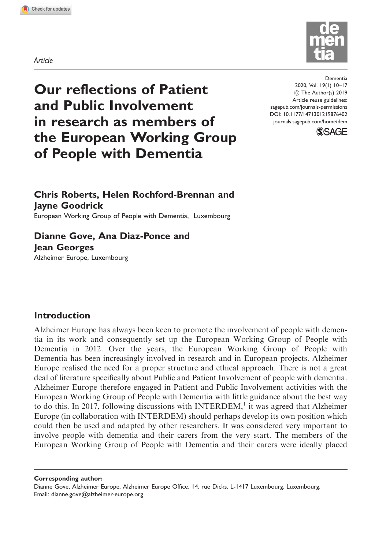Article



Our reflections of Patient and Public Involvement in research as members of the European Working Group of People with Dementia

Dementia 2020, Vol. 19(1) 10–17  $\circled{c}$  The Author(s) 2019 Article reuse guidelines: [sagepub.com/journals-permissions](http://uk.sagepub.com/en-gb/journals-permissions) [DOI: 10.1177/1471301219876402](http://dx.doi.org/10.1177/1471301219876402) <journals.sagepub.com/home/dem>



# Chris Roberts, Helen Rochford-Brennan and Jayne Goodrick

European Working Group of People with Dementia, Luxembourg

Dianne Gove, Ana Diaz-Ponce and Jean Georges Alzheimer Europe, Luxembourg

Introduction

Alzheimer Europe has always been keen to promote the involvement of people with dementia in its work and consequently set up the European Working Group of People with Dementia in 2012. Over the years, the European Working Group of People with Dementia has been increasingly involved in research and in European projects. Alzheimer Europe realised the need for a proper structure and ethical approach. There is not a great deal of literature specifically about Public and Patient Involvement of people with dementia. Alzheimer Europe therefore engaged in Patient and Public Involvement activities with the European Working Group of People with Dementia with little guidance about the best way to do this. In 2017, following discussions with INTERDEM, $<sup>1</sup>$  it was agreed that Alzheimer</sup> Europe (in collaboration with INTERDEM) should perhaps develop its own position which could then be used and adapted by other researchers. It was considered very important to involve people with dementia and their carers from the very start. The members of the European Working Group of People with Dementia and their carers were ideally placed

Corresponding author:

Dianne Gove, Alzheimer Europe, Alzheimer Europe Office, 14, rue Dicks, L-1417 Luxembourg, Luxembourg. Email: dianne.gove@alzheimer-europe.org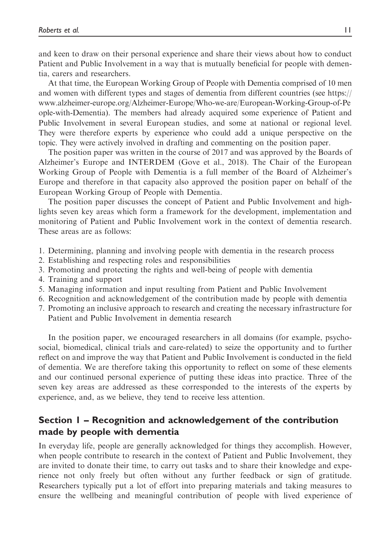and keen to draw on their personal experience and share their views about how to conduct Patient and Public Involvement in a way that is mutually beneficial for people with dementia, carers and researchers.

At that time, the European Working Group of People with Dementia comprised of 10 men and women with different types and stages of dementia from different countries (see [https://](https://www.alzheimer-europe.org/Alzheimer-Europe/Who-we-are/European-Working-Group-of-People-with-Dementia) [www.alzheimer-europe.org/Alzheimer-Europe/Who-we-are/European-Working-Group-of-Pe](https://www.alzheimer-europe.org/Alzheimer-Europe/Who-we-are/European-Working-Group-of-People-with-Dementia) [ople-with-Dementia\)](https://www.alzheimer-europe.org/Alzheimer-Europe/Who-we-are/European-Working-Group-of-People-with-Dementia). The members had already acquired some experience of Patient and Public Involvement in several European studies, and some at national or regional level. They were therefore experts by experience who could add a unique perspective on the topic. They were actively involved in drafting and commenting on the position paper.

The position paper was written in the course of 2017 and was approved by the Boards of Alzheimer's Europe and INTERDEM (Gove et al., 2018). The Chair of the European Working Group of People with Dementia is a full member of the Board of Alzheimer's Europe and therefore in that capacity also approved the position paper on behalf of the European Working Group of People with Dementia.

The position paper discusses the concept of Patient and Public Involvement and highlights seven key areas which form a framework for the development, implementation and monitoring of Patient and Public Involvement work in the context of dementia research. These areas are as follows:

- 1. Determining, planning and involving people with dementia in the research process
- 2. Establishing and respecting roles and responsibilities
- 3. Promoting and protecting the rights and well-being of people with dementia
- 4. Training and support
- 5. Managing information and input resulting from Patient and Public Involvement
- 6. Recognition and acknowledgement of the contribution made by people with dementia
- 7. Promoting an inclusive approach to research and creating the necessary infrastructure for Patient and Public Involvement in dementia research

In the position paper, we encouraged researchers in all domains (for example, psychosocial, biomedical, clinical trials and care-related) to seize the opportunity and to further reflect on and improve the way that Patient and Public Involvement is conducted in the field of dementia. We are therefore taking this opportunity to reflect on some of these elements and our continued personal experience of putting these ideas into practice. Three of the seven key areas are addressed as these corresponded to the interests of the experts by experience, and, as we believe, they tend to receive less attention.

# Section 1 – Recognition and acknowledgement of the contribution made by people with dementia

In everyday life, people are generally acknowledged for things they accomplish. However, when people contribute to research in the context of Patient and Public Involvement, they are invited to donate their time, to carry out tasks and to share their knowledge and experience not only freely but often without any further feedback or sign of gratitude. Researchers typically put a lot of effort into preparing materials and taking measures to ensure the wellbeing and meaningful contribution of people with lived experience of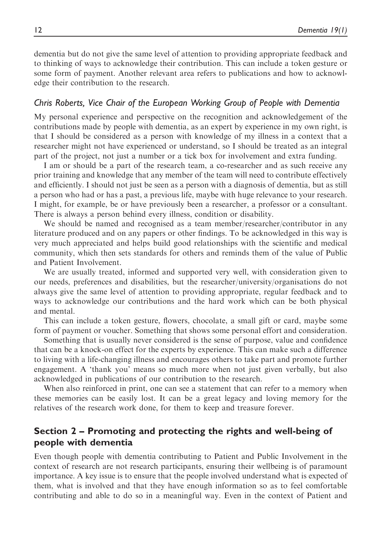dementia but do not give the same level of attention to providing appropriate feedback and to thinking of ways to acknowledge their contribution. This can include a token gesture or some form of payment. Another relevant area refers to publications and how to acknowledge their contribution to the research.

# Chris Roberts, Vice Chair of the European Working Group of People with Dementia

My personal experience and perspective on the recognition and acknowledgement of the contributions made by people with dementia, as an expert by experience in my own right, is that I should be considered as a person with knowledge of my illness in a context that a researcher might not have experienced or understand, so I should be treated as an integral part of the project, not just a number or a tick box for involvement and extra funding.

I am or should be a part of the research team, a co-researcher and as such receive any prior training and knowledge that any member of the team will need to contribute effectively and efficiently. I should not just be seen as a person with a diagnosis of dementia, but as still a person who had or has a past, a previous life, maybe with huge relevance to your research. I might, for example, be or have previously been a researcher, a professor or a consultant. There is always a person behind every illness, condition or disability.

We should be named and recognised as a team member/researcher/contributor in any literature produced and on any papers or other findings. To be acknowledged in this way is very much appreciated and helps build good relationships with the scientific and medical community, which then sets standards for others and reminds them of the value of Public and Patient Involvement.

We are usually treated, informed and supported very well, with consideration given to our needs, preferences and disabilities, but the researcher/university/organisations do not always give the same level of attention to providing appropriate, regular feedback and to ways to acknowledge our contributions and the hard work which can be both physical and mental.

This can include a token gesture, flowers, chocolate, a small gift or card, maybe some form of payment or voucher. Something that shows some personal effort and consideration.

Something that is usually never considered is the sense of purpose, value and confidence that can be a knock-on effect for the experts by experience. This can make such a difference to living with a life-changing illness and encourages others to take part and promote further engagement. A 'thank you' means so much more when not just given verbally, but also acknowledged in publications of our contribution to the research.

When also reinforced in print, one can see a statement that can refer to a memory when these memories can be easily lost. It can be a great legacy and loving memory for the relatives of the research work done, for them to keep and treasure forever.

# Section 2 – Promoting and protecting the rights and well-being of people with dementia

Even though people with dementia contributing to Patient and Public Involvement in the context of research are not research participants, ensuring their wellbeing is of paramount importance. A key issue is to ensure that the people involved understand what is expected of them, what is involved and that they have enough information so as to feel comfortable contributing and able to do so in a meaningful way. Even in the context of Patient and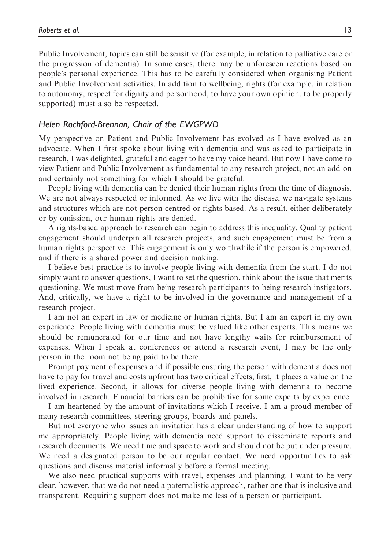Public Involvement, topics can still be sensitive (for example, in relation to palliative care or the progression of dementia). In some cases, there may be unforeseen reactions based on people's personal experience. This has to be carefully considered when organising Patient and Public Involvement activities. In addition to wellbeing, rights (for example, in relation to autonomy, respect for dignity and personhood, to have your own opinion, to be properly supported) must also be respected.

## Helen Rochford-Brennan, Chair of the EWGPWD

My perspective on Patient and Public Involvement has evolved as I have evolved as an advocate. When I first spoke about living with dementia and was asked to participate in research, I was delighted, grateful and eager to have my voice heard. But now I have come to view Patient and Public Involvement as fundamental to any research project, not an add-on and certainly not something for which I should be grateful.

People living with dementia can be denied their human rights from the time of diagnosis. We are not always respected or informed. As we live with the disease, we navigate systems and structures which are not person-centred or rights based. As a result, either deliberately or by omission, our human rights are denied.

A rights-based approach to research can begin to address this inequality. Quality patient engagement should underpin all research projects, and such engagement must be from a human rights perspective. This engagement is only worthwhile if the person is empowered, and if there is a shared power and decision making.

I believe best practice is to involve people living with dementia from the start. I do not simply want to answer questions, I want to set the question, think about the issue that merits questioning. We must move from being research participants to being research instigators. And, critically, we have a right to be involved in the governance and management of a research project.

I am not an expert in law or medicine or human rights. But I am an expert in my own experience. People living with dementia must be valued like other experts. This means we should be remunerated for our time and not have lengthy waits for reimbursement of expenses. When I speak at conferences or attend a research event, I may be the only person in the room not being paid to be there.

Prompt payment of expenses and if possible ensuring the person with dementia does not have to pay for travel and costs upfront has two critical effects; first, it places a value on the lived experience. Second, it allows for diverse people living with dementia to become involved in research. Financial barriers can be prohibitive for some experts by experience.

I am heartened by the amount of invitations which I receive. I am a proud member of many research committees, steering groups, boards and panels.

But not everyone who issues an invitation has a clear understanding of how to support me appropriately. People living with dementia need support to disseminate reports and research documents. We need time and space to work and should not be put under pressure. We need a designated person to be our regular contact. We need opportunities to ask questions and discuss material informally before a formal meeting.

We also need practical supports with travel, expenses and planning. I want to be very clear, however, that we do not need a paternalistic approach, rather one that is inclusive and transparent. Requiring support does not make me less of a person or participant.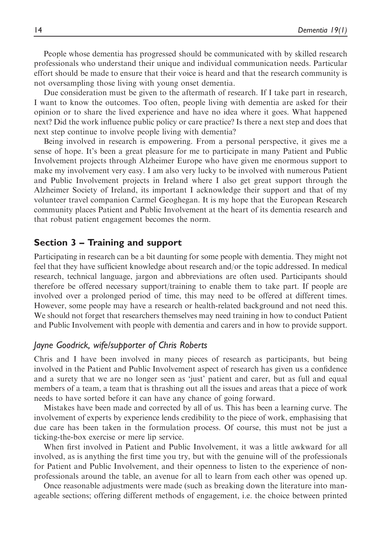People whose dementia has progressed should be communicated with by skilled research professionals who understand their unique and individual communication needs. Particular effort should be made to ensure that their voice is heard and that the research community is not oversampling those living with young onset dementia.

Due consideration must be given to the aftermath of research. If I take part in research, I want to know the outcomes. Too often, people living with dementia are asked for their opinion or to share the lived experience and have no idea where it goes. What happened next? Did the work influence public policy or care practice? Is there a next step and does that next step continue to involve people living with dementia?

Being involved in research is empowering. From a personal perspective, it gives me a sense of hope. It's been a great pleasure for me to participate in many Patient and Public Involvement projects through Alzheimer Europe who have given me enormous support to make my involvement very easy. I am also very lucky to be involved with numerous Patient and Public Involvement projects in Ireland where I also get great support through the Alzheimer Society of Ireland, its important I acknowledge their support and that of my volunteer travel companion Carmel Geoghegan. It is my hope that the European Research community places Patient and Public Involvement at the heart of its dementia research and that robust patient engagement becomes the norm.

# Section 3 – Training and support

Participating in research can be a bit daunting for some people with dementia. They might not feel that they have sufficient knowledge about research and/or the topic addressed. In medical research, technical language, jargon and abbreviations are often used. Participants should therefore be offered necessary support/training to enable them to take part. If people are involved over a prolonged period of time, this may need to be offered at different times. However, some people may have a research or health-related background and not need this. We should not forget that researchers themselves may need training in how to conduct Patient and Public Involvement with people with dementia and carers and in how to provide support.

### Jayne Goodrick, wife/supporter of Chris Roberts

Chris and I have been involved in many pieces of research as participants, but being involved in the Patient and Public Involvement aspect of research has given us a confidence and a surety that we are no longer seen as 'just' patient and carer, but as full and equal members of a team, a team that is thrashing out all the issues and areas that a piece of work needs to have sorted before it can have any chance of going forward.

Mistakes have been made and corrected by all of us. This has been a learning curve. The involvement of experts by experience lends credibility to the piece of work, emphasising that due care has been taken in the formulation process. Of course, this must not be just a ticking-the-box exercise or mere lip service.

When first involved in Patient and Public Involvement, it was a little awkward for all involved, as is anything the first time you try, but with the genuine will of the professionals for Patient and Public Involvement, and their openness to listen to the experience of nonprofessionals around the table, an avenue for all to learn from each other was opened up.

Once reasonable adjustments were made (such as breaking down the literature into manageable sections; offering different methods of engagement, i.e. the choice between printed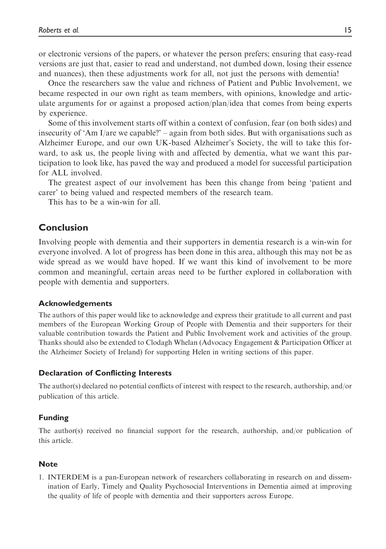or electronic versions of the papers, or whatever the person prefers; ensuring that easy-read versions are just that, easier to read and understand, not dumbed down, losing their essence and nuances), then these adjustments work for all, not just the persons with dementia!

Once the researchers saw the value and richness of Patient and Public Involvement, we became respected in our own right as team members, with opinions, knowledge and articulate arguments for or against a proposed action/plan/idea that comes from being experts by experience.

Some of this involvement starts off within a context of confusion, fear (on both sides) and insecurity of 'Am I/are we capable?' – again from both sides. But with organisations such as Alzheimer Europe, and our own UK-based Alzheimer's Society, the will to take this forward, to ask us, the people living with and affected by dementia, what we want this participation to look like, has paved the way and produced a model for successful participation for ALL involved.

The greatest aspect of our involvement has been this change from being 'patient and carer' to being valued and respected members of the research team.

This has to be a win-win for all.

# Conclusion

Involving people with dementia and their supporters in dementia research is a win-win for everyone involved. A lot of progress has been done in this area, although this may not be as wide spread as we would have hoped. If we want this kind of involvement to be more common and meaningful, certain areas need to be further explored in collaboration with people with dementia and supporters.

#### Acknowledgements

The authors of this paper would like to acknowledge and express their gratitude to all current and past members of the European Working Group of People with Dementia and their supporters for their valuable contribution towards the Patient and Public Involvement work and activities of the group. Thanks should also be extended to Clodagh Whelan (Advocacy Engagement & Participation Officer at the Alzheimer Society of Ireland) for supporting Helen in writing sections of this paper.

### Declaration of Conflicting Interests

The author(s) declared no potential conflicts of interest with respect to the research, authorship, and/or publication of this article.

### Funding

The author(s) received no financial support for the research, authorship, and/or publication of this article.

#### **Note**

1. INTERDEM is a pan-European network of researchers collaborating in research on and dissemination of Early, Timely and Quality Psychosocial Interventions in Dementia aimed at improving the quality of life of people with dementia and their supporters across Europe.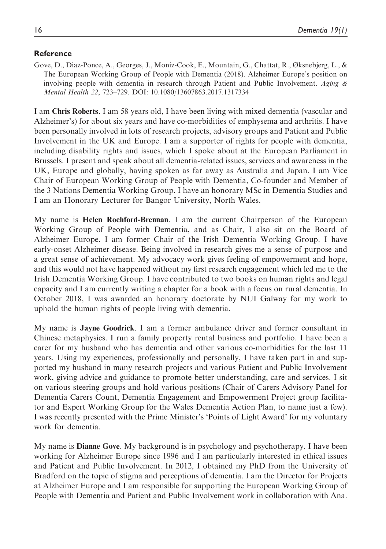## Reference

Gove, D., Diaz-Ponce, A., Georges, J., Moniz-Cook, E., Mountain, G., Chattat, R., Øksnebjerg, L., & The European Working Group of People with Dementia (2018). Alzheimer Europe's position on involving people with dementia in research through Patient and Public Involvement. Aging  $\&$ Mental Health 22, 723–729. DOI: 10.1080/13607863.2017.1317334

I am Chris Roberts. I am 58 years old, I have been living with mixed dementia (vascular and Alzheimer's) for about six years and have co-morbidities of emphysema and arthritis. I have been personally involved in lots of research projects, advisory groups and Patient and Public Involvement in the UK and Europe. I am a supporter of rights for people with dementia, including disability rights and issues, which I spoke about at the European Parliament in Brussels. I present and speak about all dementia-related issues, services and awareness in the UK, Europe and globally, having spoken as far away as Australia and Japan. I am Vice Chair of European Working Group of People with Dementia, Co-founder and Member of the 3 Nations Dementia Working Group. I have an honorary MSc in Dementia Studies and I am an Honorary Lecturer for Bangor University, North Wales.

My name is **Helen Rochford-Brennan**. I am the current Chairperson of the European Working Group of People with Dementia, and as Chair, I also sit on the Board of Alzheimer Europe. I am former Chair of the Irish Dementia Working Group. I have early-onset Alzheimer disease. Being involved in research gives me a sense of purpose and a great sense of achievement. My advocacy work gives feeling of empowerment and hope, and this would not have happened without my first research engagement which led me to the Irish Dementia Working Group. I have contributed to two books on human rights and legal capacity and I am currently writing a chapter for a book with a focus on rural dementia. In October 2018, I was awarded an honorary doctorate by NUI Galway for my work to uphold the human rights of people living with dementia.

My name is Jayne Goodrick. I am a former ambulance driver and former consultant in Chinese metaphysics. I run a family property rental business and portfolio. I have been a carer for my husband who has dementia and other various co-morbidities for the last 11 years. Using my experiences, professionally and personally, I have taken part in and supported my husband in many research projects and various Patient and Public Involvement work, giving advice and guidance to promote better understanding, care and services. I sit on various steering groups and hold various positions (Chair of Carers Advisory Panel for Dementia Carers Count, Dementia Engagement and Empowerment Project group facilitator and Expert Working Group for the Wales Dementia Action Plan, to name just a few). I was recently presented with the Prime Minister's 'Points of Light Award' for my voluntary work for dementia.

My name is **Dianne Gove**. My background is in psychology and psychotherapy. I have been working for Alzheimer Europe since 1996 and I am particularly interested in ethical issues and Patient and Public Involvement. In 2012, I obtained my PhD from the University of Bradford on the topic of stigma and perceptions of dementia. I am the Director for Projects at Alzheimer Europe and I am responsible for supporting the European Working Group of People with Dementia and Patient and Public Involvement work in collaboration with Ana.